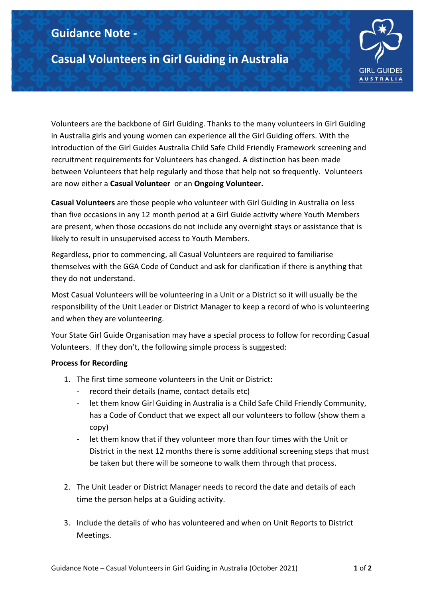## **Guidance Note -**

**Casual Volunteers in Girl Guiding in Australia**



Volunteers are the backbone of Girl Guiding. Thanks to the many volunteers in Girl Guiding in Australia girls and young women can experience all the Girl Guiding offers. With the introduction of the Girl Guides Australia Child Safe Child Friendly Framework screening and recruitment requirements for Volunteers has changed. A distinction has been made between Volunteers that help regularly and those that help not so frequently. Volunteers are now either a **Casual Volunteer** or an **Ongoing Volunteer.**

**Casual Volunteers** are those people who volunteer with Girl Guiding in Australia on less than five occasions in any 12 month period at a Girl Guide activity where Youth Members are present, when those occasions do not include any overnight stays or assistance that is likely to result in unsupervised access to Youth Members.

Regardless, prior to commencing, all Casual Volunteers are required to familiarise themselves with the [GGA Code of Conduct](https://www.guidelinesforgirlguides.org.au/wp-content/uploads/2015/07/GGA-National-Code-of-Conduct-Jan-2015-FINAL-Jan-2015.pdf) and ask for clarification if there is anything that they do not understand.

Most Casual Volunteers will be volunteering in a Unit or a District so it will usually be the responsibility of the Unit Leader or District Manager to keep a record of who is volunteering and when they are volunteering.

Your State Girl Guide Organisation may have a special process to follow for recording Casual Volunteers. If they don't, the following simple process is suggested:

## **Process for Recording**

- 1. The first time someone volunteers in the Unit or District:
	- record their details (name, contact details etc)
	- let them know Girl Guiding in Australia is a Child Safe Child Friendly Community, has a Code of Conduct that we expect all our volunteers to follow (show them a copy)
	- let them know that if they volunteer more than four times with the Unit or District in the next 12 months there is some additional screening steps that must be taken but there will be someone to walk them through that process.
- 2. The Unit Leader or District Manager needs to record the date and details of each time the person helps at a Guiding activity.
- 3. Include the details of who has volunteered and when on Unit Reports to District Meetings.